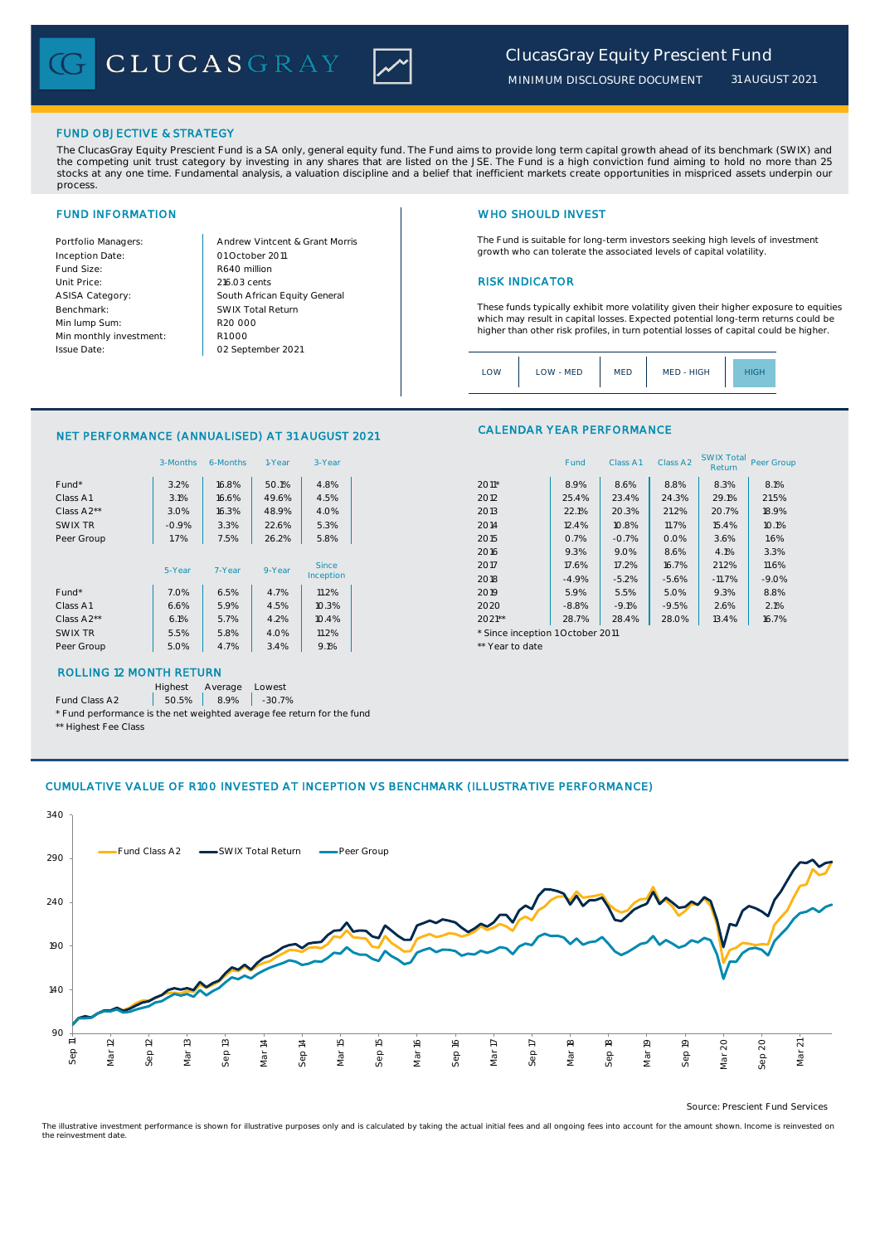CLUCASGRAY



*31 AUGUST 2021*

## FUND OBJECTIVE & STRATEGY

The ClucasGray Equity Prescient Fund is a SA only, general equity fund. The Fund aims to provide long term capital growth ahead of its benchmark (SWIX) and<br>the competing unit trust category by investing in any shares that stocks at any one time. Fundamental analysis, a valuation discipline and a belief that inefficient markets create opportunities in mispriced assets underpin our process.

Inception Date: Fund Size: R640 million ASISA Category: Benchmark: Min lump Sum: Min monthly investment: Issue Date:

Portfolio Managers: <br>Andrew Vintcent & Grant Morris Unit Price: 216.03 cents 2016.03 cents South African Equity General 216.03 cents R1 000 01 October 2011 02 September 2021 R20 000 SWIX Total Return

# FUND INFORMATION NETWORK IN THE SERVICE OF THE SERVICE OF THE WHO SHOULD INVEST

The Fund is suitable for long-term investors seeking high levels of investment growth who can tolerate the associated levels of capital volatility.

These funds typically exhibit more volatility given their higher exposure to equities which may result in capital losses. Expected potential long-term returns could be higher than other risk profiles, in turn potential losses of capital could be higher.

Class A1 Class A2 SWIX Total Return Peer Group

| MED - HIGH<br>LOW<br>LOW - MED<br><b>MED</b><br>IGF |
|-----------------------------------------------------|
|-----------------------------------------------------|

CALENDAR YEAR PERFORMANCE

### NET PERFORMANCE (ANNUALISED) AT 31 AUGUST 2021

|            | 3-Months | 6-Months | 1-Year | 3-Year    |                                  | Fund    | Class A1 | Class A <sub>2</sub> | <b>SWIX Total</b><br>Return | Peer Gro |
|------------|----------|----------|--------|-----------|----------------------------------|---------|----------|----------------------|-----------------------------|----------|
| Fund*      | 3.2%     | 16.8%    | 50.1%  | 4.8%      | $2011*$                          | 8.9%    | 8.6%     | 8.8%                 | 8.3%                        | 8.1%     |
| Class A1   | 3.1%     | 16.6%    | 49.6%  | 4.5%      | 2012                             | 25.4%   | 23.4%    | 24.3%                | 29.1%                       | 21.5%    |
| Class A2** | 3.0%     | 16.3%    | 48.9%  | 4.0%      | 2013                             | 22.1%   | 20.3%    | 21.2%                | 20.7%                       | 18.9%    |
| SWIX TR    | $-0.9%$  | 3.3%     | 22.6%  | 5.3%      | 2014                             | 12.4%   | 10.8%    | 11.7%                | 15.4%                       | 10.1%    |
| Peer Group | 1.7%     | 7.5%     | 26.2%  | 5.8%      | 2015                             | 0.7%    | $-0.7%$  | 0.0%                 | 3.6%                        | 1.6%     |
|            |          |          |        |           | 2016                             | 9.3%    | 9.0%     | 8.6%                 | 4.1%                        | 3.3%     |
|            | 5-Year   | 7-Year   | 9-Year | Since     | 2017                             | 17.6%   | 17.2%    | 16.7%                | 21.2%                       | 11.6%    |
|            |          |          |        | Inception | 2018                             | $-4.9%$ | $-5.2%$  | $-5.6%$              | $-11.7%$                    | $-9.0%$  |
| Fund*      | 7.0%     | 6.5%     | 4.7%   | 11.2%     | 2019                             | 5.9%    | 5.5%     | 5.0%                 | 9.3%                        | 8.8%     |
| Class A1   | 6.6%     | 5.9%     | 4.5%   | 10.3%     | 2020                             | $-8.8%$ | $-9.1%$  | $-9.5%$              | 2.6%                        | 2.1%     |
| Class A2** | 6.1%     | 5.7%     | 4.2%   | 10.4%     | $2021**$                         | 28.7%   | 28.4%    | 28.0%                | 13.4%                       | 16.7%    |
| SWIX TR    | 5.5%     | 5.8%     | 4.0%   | 11.2%     | * Since inception 1 October 2011 |         |          |                      |                             |          |
| Peer Group | 5.0%     | 4.7%     | 3.4%   | 9.1%      | ** Year to date                  |         |          |                      |                             |          |
|            |          |          |        |           |                                  |         |          |                      |                             |          |

# ROLLING 12 MONTH RETURN

Highest Average Lowest

Fund Class A2  $\begin{array}{|c|c|c|c|c|} \hline \text{50.5\%} & \text{8.9\%} & \text{-30.7\%} \hline \end{array}$ 

\* Fund performance is the net weighted average fee return for the fund \*\* Highest Fee Class

# CUMULATIVE VALUE OF R100 INVESTED AT INCEPTION VS BENCHMARK (ILLUSTRATIVE PERFORMANCE)



Source: Prescient Fund Services

The illustrative investment performance is shown for illustrative purposes only and is calculated by taking the actual initial fees and all ongoing fees into account for the amount shown. Income is reinvested on the reinvestment date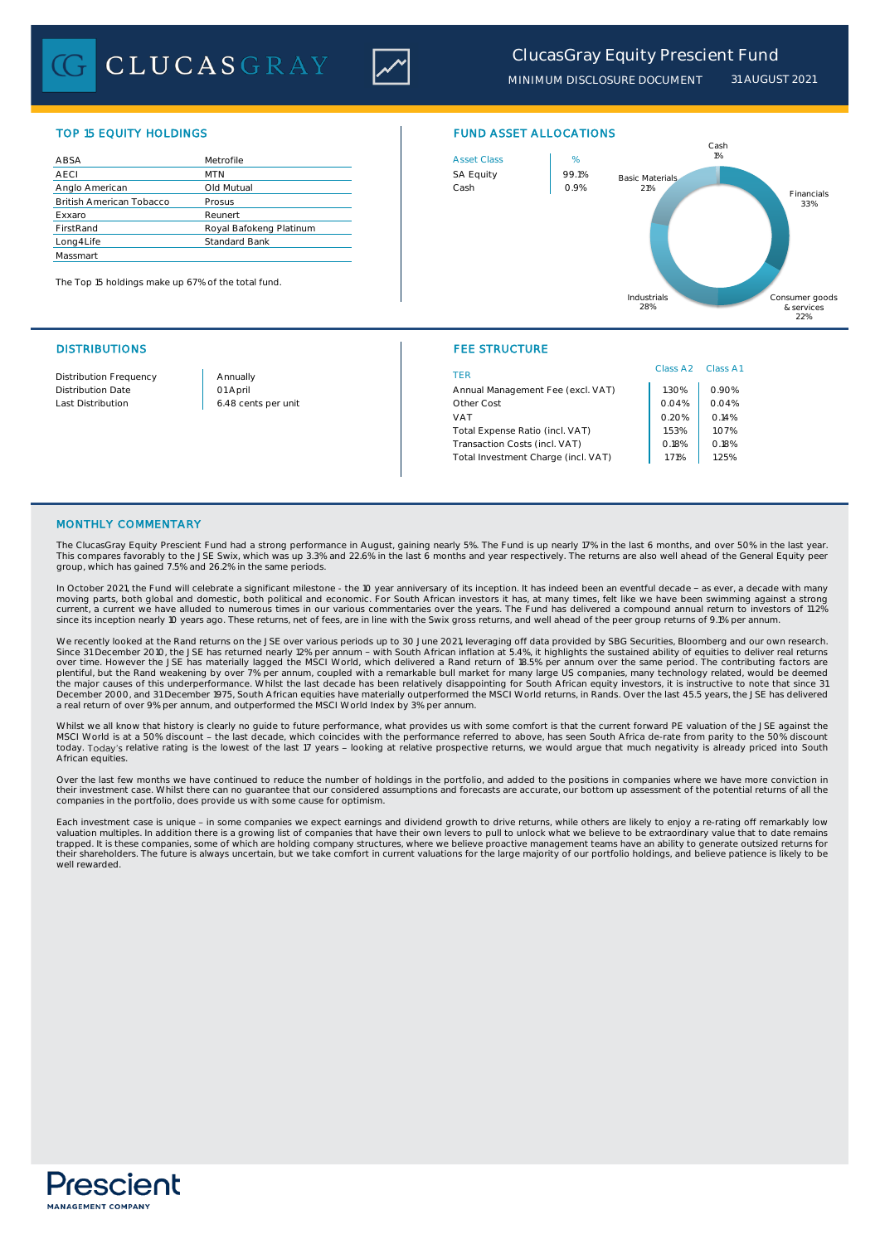

*MINIMUM DISCLOSURE DOCUMENT 31 AUGUST 2021*

| ABSA                            | Metrofile               | <b>Asset Class</b> | %     |
|---------------------------------|-------------------------|--------------------|-------|
| <b>AECI</b>                     | <b>MTN</b>              | <b>SA Equity</b>   | 99.1% |
| Anglo American                  | Old Mutual              | Cash               | 0.9%  |
| <b>British American Tobacco</b> | Prosus                  |                    |       |
| Exxaro                          | Reunert                 |                    |       |
| FirstRand                       | Royal Bafokeng Platinum |                    |       |
| Long4Life                       | Standard Bank           |                    |       |
| Massmart                        |                         |                    |       |

The Top 15 holdings make up 67% of the total fund.





## DISTRIBUTIONS FEE STRUCTURE

| Distribution Frequency | Annually            | TER                                 | Class A <sub>2</sub> | Class A1 |
|------------------------|---------------------|-------------------------------------|----------------------|----------|
| Distribution Date      | 01 April            | Annual Management Fee (excl. VAT)   | .30%                 | 0.90%    |
| Last Distribution      | 6.48 cents per unit | Other Cost                          | 0.04%                |          |
|                        |                     | VAT                                 | 0.20%                | 0.14%    |
|                        |                     | Total Expense Ratio (incl. VAT)     | 1.53%                | 1.07%    |
|                        |                     | Transaction Costs (incl. VAT)       | 0.18%                | 0.18%    |
|                        |                     | Total Investment Charge (incl. VAT) | .71%                 | 1.25%    |
|                        |                     |                                     |                      |          |

## MONTHLY COMMENTARY

The ClucasGray Equity Prescient Fund had a strong performance in August, gaining nearly 5%. The Fund is up nearly 17% in the last 6 months, and over 50% in the last year. This compares favorably to the JSE Swix, which was up 3.3% and 22.6% in the last 6 months and year respectively. The returns are also well ahead of the General Equity peer group, which has gained 7.5% and 26.2% in the same periods.

In October 2021, the Fund will celebrate a significant milestone - the 10 year anniversary of its inception. It has indeed been an eventful decade - as ever, a decade with many moving parts, both global and domestic, both political and economic. For South African investors it has, at many times, felt like we have been swimming against a strong<br>current, a current we have alluded to numerous times since its inception nearly 10 years ago. These returns, net of fees, are in line with the Swix gross returns, and well ahead of the peer group returns of 9.1% per annum.

We recently looked at the Rand returns on the JSE over various periods up to 30 June 2021, leveraging off data provided by SBG Securities, Bloomberg and our own research. Since 31 December 2010, the JSE has returned nearly 12% per annum - with South African inflation at 5.4%, it highlights the sustained ability of equities to deliver real returns<br>plentiful, but the Ram and enterially lagged December 2000, and 31 December 1975, South African equities have materially outperformed the MSCI World returns, in Rands. Over the last 45.5 years, the JSE has delivered a real return of over 9% per annum, and outperformed the MSCI World Index by 3% per annum.

Whilst we all know that history is clearly no quide to future performance, what provides us with some comfort is that the current forward PE valuation of the JSE against the MSCI World is at a 50% discount - the last decade, which coincides with the performance referred to above, has seen South Africa de-rate from parity to the 50% discount<br>today. Today's relative rating is the lowest of the l African equities.

Over the last few months we have continued to reduce the number of holdings in the portfolio, and added to the positions in companies where we have more conviction in their investment case. Whilst there can no guarantee that our considered assumptions and forecasts are accurate, our bottom up assessment of the potential returns of all the companies in the portfolio, does provide us with some cause for optimism.

Each investment case is unique - in some companies we expect earnings and dividend growth to drive returns, while others are likely to enjoy a re-rating off remarkably low valuation multiples. In addition there is a growing list of companies that have their own levers to pull to unlock what we believe to be extraordinary value that to date remains<br>trapped. It is these companies, some of whic their shareholders. The future is always uncertain, but we take comfort in current valuations for the large majority of our portfolio holdings, and believe patience is likely to be well rewarded.